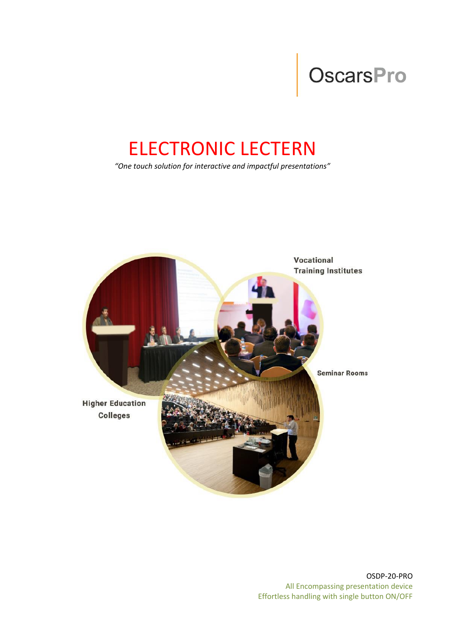# OscarsPro

## ELECTRONIC LECTERN

*"One touch solution for interactive and impactful presentations"*

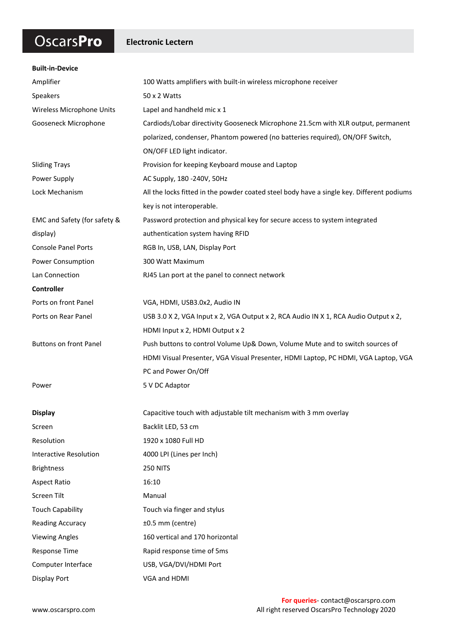## OscarsPro

#### **Electronic Lectern**

| <b>Built-in-Device</b>        |                                                                                           |
|-------------------------------|-------------------------------------------------------------------------------------------|
| Amplifier                     | 100 Watts amplifiers with built-in wireless microphone receiver                           |
| Speakers                      | 50 x 2 Watts                                                                              |
| Wireless Microphone Units     | Lapel and handheld mic x 1                                                                |
| Gooseneck Microphone          | Cardiods/Lobar directivity Gooseneck Microphone 21.5cm with XLR output, permanent         |
|                               | polarized, condenser, Phantom powered (no batteries required), ON/OFF Switch,             |
|                               | ON/OFF LED light indicator.                                                               |
| <b>Sliding Trays</b>          | Provision for keeping Keyboard mouse and Laptop                                           |
| Power Supply                  | AC Supply, 180 -240V, 50Hz                                                                |
| Lock Mechanism                | All the locks fitted in the powder coated steel body have a single key. Different podiums |
|                               | key is not interoperable.                                                                 |
| EMC and Safety (for safety &  | Password protection and physical key for secure access to system integrated               |
| display)                      | authentication system having RFID                                                         |
| <b>Console Panel Ports</b>    | RGB In, USB, LAN, Display Port                                                            |
| Power Consumption             | 300 Watt Maximum                                                                          |
| Lan Connection                | RJ45 Lan port at the panel to connect network                                             |
| Controller                    |                                                                                           |
| Ports on front Panel          | VGA, HDMI, USB3.0x2, Audio IN                                                             |
| Ports on Rear Panel           | USB 3.0 X 2, VGA Input x 2, VGA Output x 2, RCA Audio IN X 1, RCA Audio Output x 2,       |
|                               | HDMI Input x 2, HDMI Output x 2                                                           |
| <b>Buttons on front Panel</b> | Push buttons to control Volume Up& Down, Volume Mute and to switch sources of             |
|                               | HDMI Visual Presenter, VGA Visual Presenter, HDMI Laptop, PC HDMI, VGA Laptop, VGA        |
|                               | PC and Power On/Off                                                                       |
| Power                         | 5 V DC Adaptor                                                                            |
|                               |                                                                                           |
| <b>Display</b>                | Capacitive touch with adjustable tilt mechanism with 3 mm overlay                         |
| Screen                        | Backlit LED, 53 cm                                                                        |
| Resolution                    | 1920 x 1080 Full HD                                                                       |
| <b>Interactive Resolution</b> | 4000 LPI (Lines per Inch)                                                                 |
| <b>Brightness</b>             | <b>250 NITS</b>                                                                           |
| <b>Aspect Ratio</b>           | 16:10                                                                                     |
| Screen Tilt                   | Manual                                                                                    |
| <b>Touch Capability</b>       | Touch via finger and stylus                                                               |
| <b>Reading Accuracy</b>       | ±0.5 mm (centre)                                                                          |
| <b>Viewing Angles</b>         | 160 vertical and 170 horizontal                                                           |
| Response Time                 | Rapid response time of 5ms                                                                |
| Computer Interface            | USB, VGA/DVI/HDMI Port                                                                    |
| <b>Display Port</b>           | VGA and HDMI                                                                              |